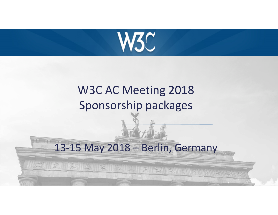

# W3C AC Meeting 2018Sponsorship packages

13-15 May 2018 – Berlin, Germany

**ATILE ITA ILA ILA ILA ILA ILA ILA ILA** 

1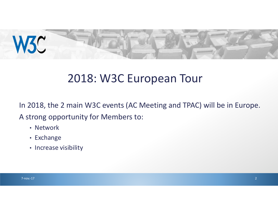

## 2018: W3C European Tour

In 2018, the 2 main W3C events (AC Meeting and TPAC) will be in Europe.

A strong opportunity for Members to:

- Network
- Exchange
- Increase visibility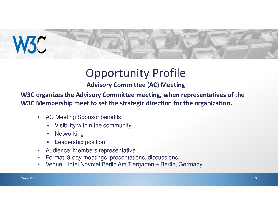

# Opportunity Profile

#### **Advisory Committee (AC) Meeting**

**W3C organizes the Advisory Committee meeting, when representatives of the W3C Membership meet to set the strategic direction for the organization.**

- AC Meeting Sponsor benefits:
	- •Visibility within the community
	- $\bullet$ **Networking**
	- •Leadership position
- Audience: Members representative $\bullet$
- Format: 3-day meetings, presentations, discussions $\bullet$
- Venue: Hotel Novotel Berlin Am Tiergarten Berlin, Germany $\bullet$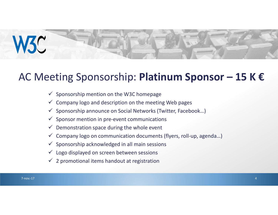

#### AC Meeting Sponsorship: **Platinum Sponsor – 15 K €**

- $\checkmark$  Sponsorship mention on the W3C homepage
- $\checkmark$  Company logo and description on the meeting Web pages
- $\checkmark$  Sponsorship announce on Social Networks (Twitter, Facebook...)
- $\checkmark$  Sponsor mention in pre-event communications
- $\checkmark$  Demonstration space during the whole event
- $\checkmark$  Company logo on communication documents (flyers, roll-up, agenda...)
- $\checkmark$  Sponsorship acknowledged in all main sessions
- $\checkmark$  Logo displayed on screen between sessions
- $\checkmark$  2 promotional items handout at registration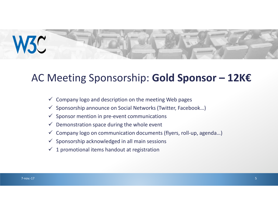

#### AC Meeting Sponsorship: **Gold Sponsor – 12K€**

- $\checkmark$  Company logo and description on the meeting Web pages
- $\checkmark$  Sponsorship announce on Social Networks (Twitter, Facebook...)
- $\checkmark$  Sponsor mention in pre-event communications
- $\checkmark$  Demonstration space during the whole event
- $\checkmark$  Company logo on communication documents (flyers, roll-up, agenda...)
- $\checkmark$  Sponsorship acknowledged in all main sessions
- $\checkmark$  1 promotional items handout at registration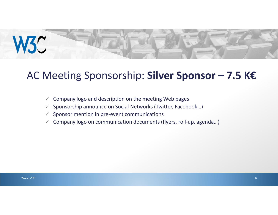

### AC Meeting Sponsorship: **Silver Sponsor – 7.5 K€**

- $\checkmark$ Company logo and description on the meeting Web pages
- $\checkmark$ Sponsorship announce on Social Networks (Twitter, Facebook…)
- $\checkmark$ Sponsor mention in pre-event communications
- $\checkmark$  Company logo on communication documents (flyers, roll-up, agenda...)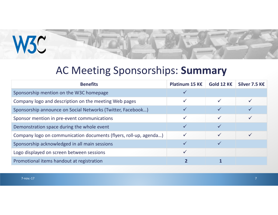

### AC Meeting Sponsorships: **Summary**

| <b>Benefits</b>                                                   | Platinum 15 K€ | Gold 12 K€   | Silver 7.5 K€ |
|-------------------------------------------------------------------|----------------|--------------|---------------|
| Sponsorship mention on the W3C homepage                           |                |              |               |
| Company logo and description on the meeting Web pages             | ✓              |              |               |
| Sponsorship announce on Social Networks (Twitter, Facebook)       |                |              |               |
| Sponsor mention in pre-event communications                       | $\checkmark$   | $\checkmark$ |               |
| Demonstration space during the whole event                        |                |              |               |
| Company logo on communication documents (flyers, roll-up, agenda) | $\checkmark$   | $\checkmark$ |               |
| Sponsorship acknowledged in all main sessions                     |                |              |               |
| Logo displayed on screen between sessions                         | $\checkmark$   |              |               |
| Promotional items handout at registration                         |                |              |               |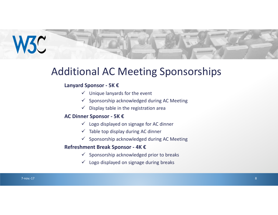

### Additional AC Meeting Sponsorships

#### **Lanyard Sponsor - 5K €**

- $\checkmark$  Unique lanyards for the event
- $\checkmark$  Sponsorship acknowledged during AC Meeting
- $\checkmark$  Display table in the registration area

#### **AC Dinner Sponsor - 5K €**

- $\checkmark$  Logo displayed on signage for AC dinner
- $\checkmark$  Table top display during AC dinner
- $\checkmark$  Sponsorship acknowledged during AC Meeting

#### **Refreshment Break Sponsor - 4K €**

- $\checkmark$  Sponsorship acknowledged prior to breaks
- $\checkmark$  Logo displayed on signage during breaks